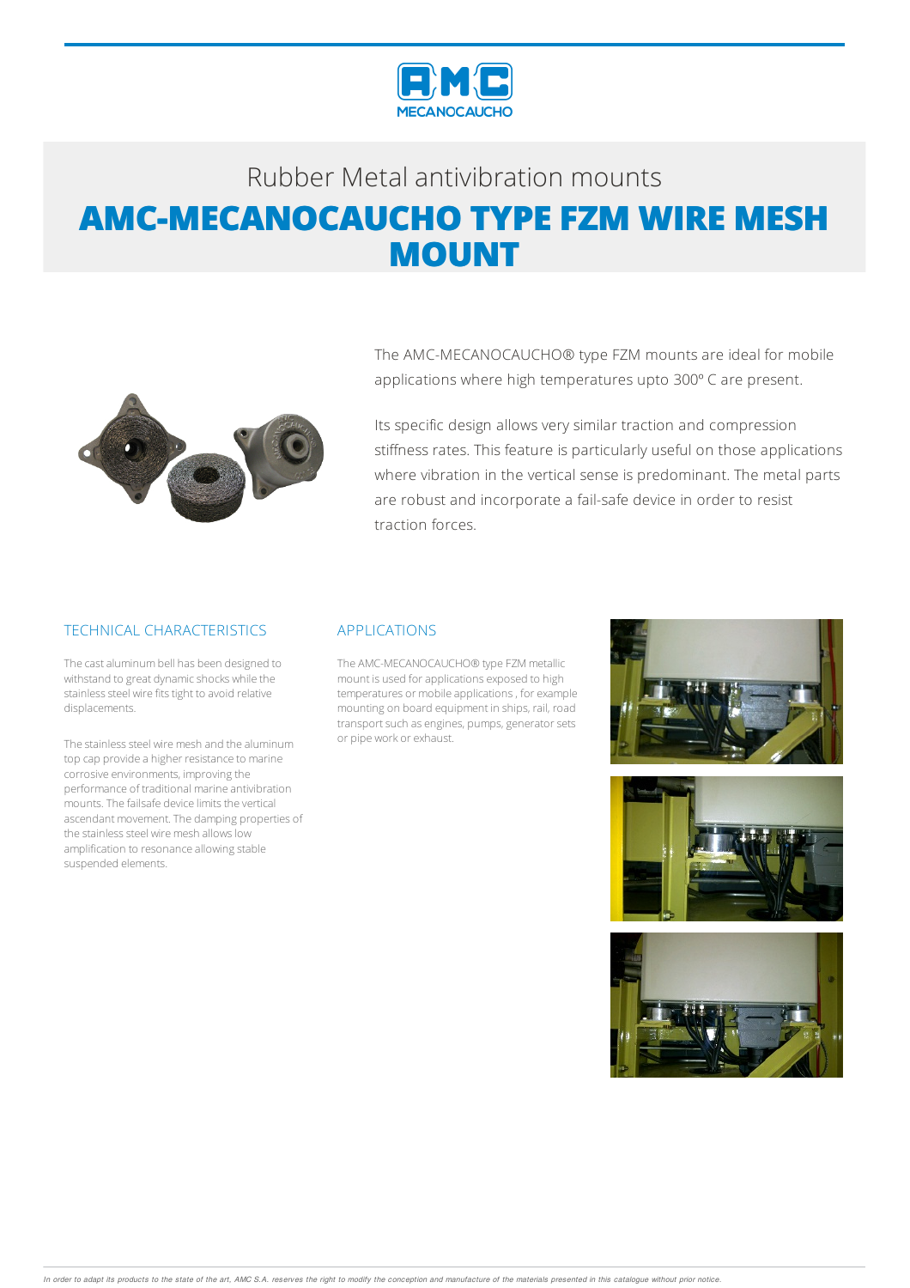

# Rubber Metalantivibration mounts **AMC-MECANOCAUCHO TYPE FZM WIRE MESH MOUNT**



The AMC-MECANOCAUCHO® type FZM mounts are ideal for mobile applications where high temperatures upto 300º C are present.

Its specific design allows very similar traction and compression stiffness rates. This feature is particularly useful on those applications where vibration in the vertical sense is predominant. The metal parts are robust and incorporate a fail-safe device in order to resist traction forces.

### TECHNICAL CHARACTERISTICS

The cast aluminum bell has been designed to withstand to great dynamic shocks while the stainless steel wire fits tight to avoid relative displacements.

The stainless steel wire mesh and the aluminum top cap provide a higher resistance to marine corrosive environments, improving the performance of traditional marine antivibration mounts. The failsafe device limits the vertical ascendant movement. The damping properties of the stainless steel wire mesh allows low amplification to resonance allowing stable suspended elements.

#### APPLICATIONS

The AMC-MECANOCAUCHO® type FZMmetallic mount is used forapplications exposed to high temperatures or mobile applications, for example mounting on board equipment in ships, rail, road transport such as engines, pumps, generator sets or pipe work or exhaust.





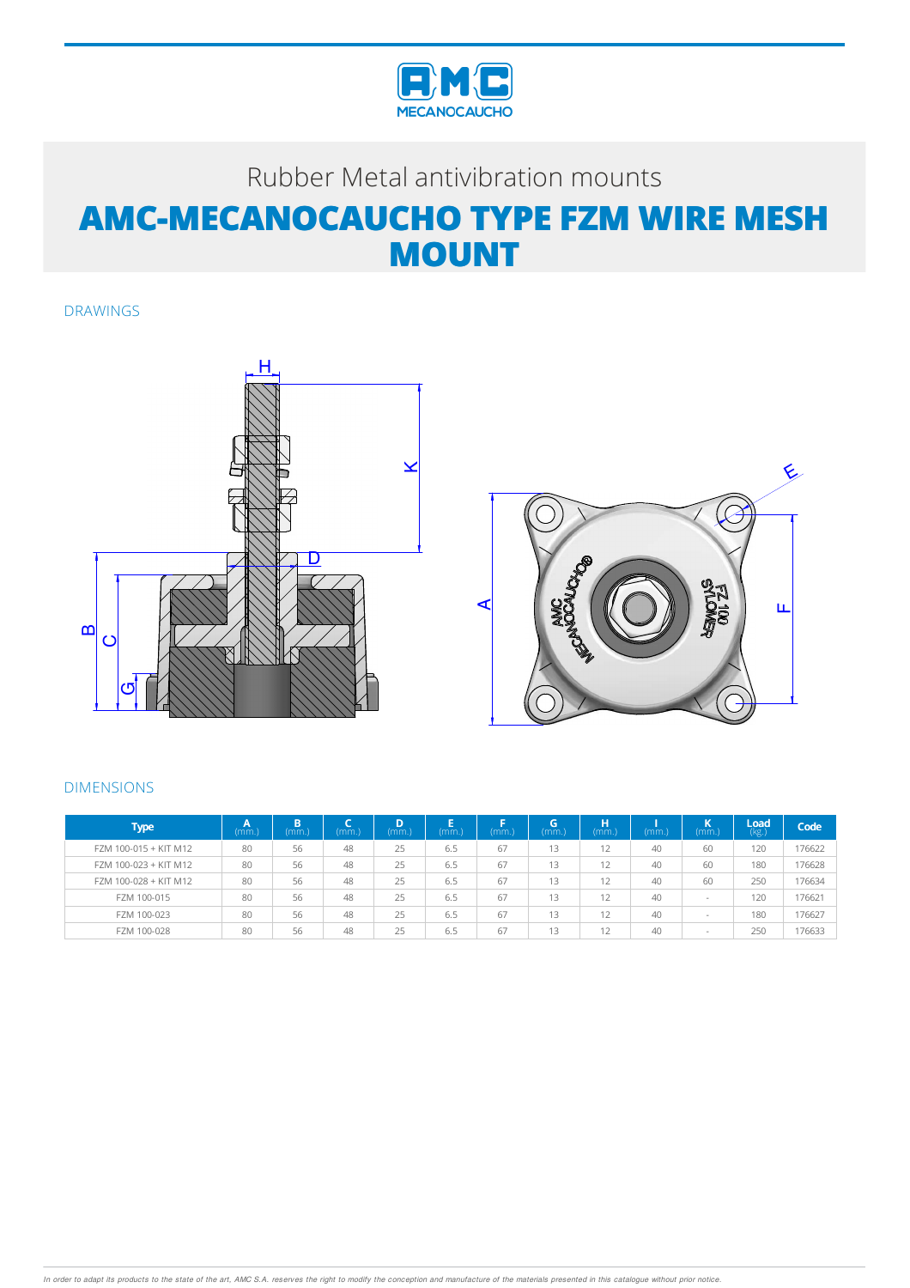

### Rubber Metal antivibration mounts **AMC-MECANOCAUCHO TYPE FZM WIRE MESH MOUNT**

DRAWINGS





#### DIMENSIONS

| <b>Type</b>           | . .<br>(mm. | B<br>mm. | (mm.) | D<br>(mm) | (mm.) | mm. | G<br>(mm) | н<br>(mm)    | (mm. | (mm)                     | /Load<br>(kg.) | Code   |
|-----------------------|-------------|----------|-------|-----------|-------|-----|-----------|--------------|------|--------------------------|----------------|--------|
| FZM 100-015 + KIT M12 | 80          | 56       | 48    | 25        | 6.5   | 67  | 13        | 12           | 40   | 60                       | 120            | 176622 |
| FZM 100-023 + KIT M12 | 80          | 56       | 48    | 25        | 6.5   | 67  | 13        | 12           | 40   | 60                       | 180            | 176628 |
| FZM 100-028 + KIT M12 | 80          | 56       | 48    | 25        | 6.5   | 67  | 13        | 12           | 40   | 60                       | 250            | 176634 |
| FZM 100-015           | 80          | 56       | 48    | 25        | 6.5   | 67  | 13        | 12           | 40   | $\overline{\phantom{a}}$ | 120            | 176621 |
| FZM 100-023           | 80          | 56       | 48    | 25        | 6.5   | 67  | 13        | 12           | 40   | $\overline{\phantom{a}}$ | 180            | 176627 |
| FZM 100-028           | 80          | 56       | 48    | 25        | 6.5   | 67  | 13        | $\sim$<br>12 | 40   | $\overline{\phantom{a}}$ | 250            | 176633 |